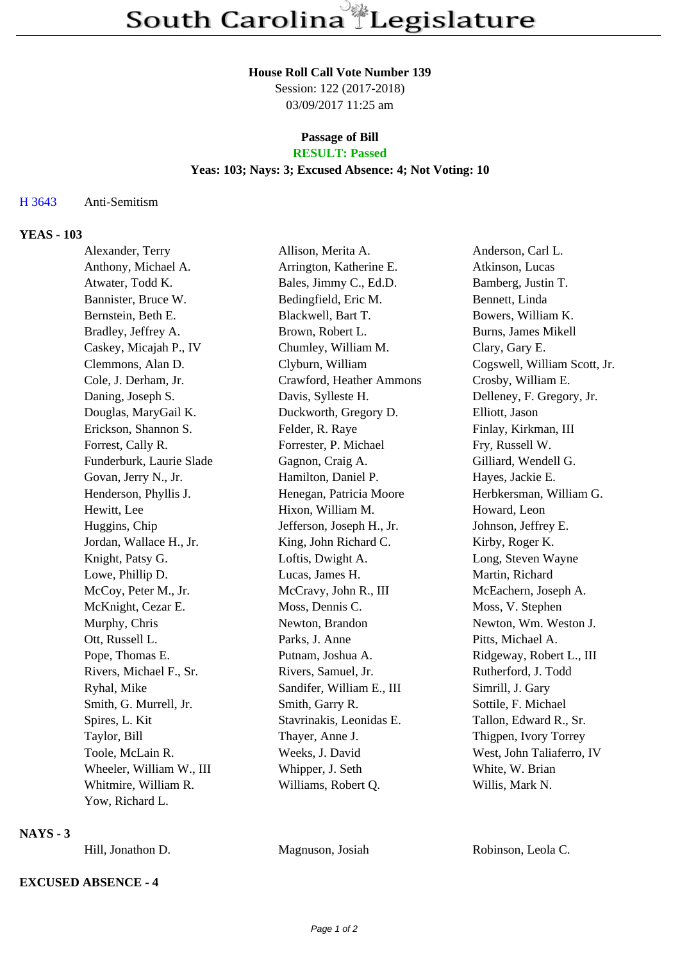#### **House Roll Call Vote Number 139**

Session: 122 (2017-2018) 03/09/2017 11:25 am

#### **Passage of Bill RESULT: Passed**

### **Yeas: 103; Nays: 3; Excused Absence: 4; Not Voting: 10**

### H 3643 Anti-Semitism

### **YEAS - 103**

| Alexander, Terry         | Allison, Merita A.        | Anderson, Carl L.            |
|--------------------------|---------------------------|------------------------------|
| Anthony, Michael A.      | Arrington, Katherine E.   | Atkinson, Lucas              |
| Atwater, Todd K.         | Bales, Jimmy C., Ed.D.    | Bamberg, Justin T.           |
| Bannister, Bruce W.      | Bedingfield, Eric M.      | Bennett, Linda               |
| Bernstein, Beth E.       | Blackwell, Bart T.        | Bowers, William K.           |
| Bradley, Jeffrey A.      | Brown, Robert L.          | <b>Burns, James Mikell</b>   |
| Caskey, Micajah P., IV   | Chumley, William M.       | Clary, Gary E.               |
| Clemmons, Alan D.        | Clyburn, William          | Cogswell, William Scott, Jr. |
| Cole, J. Derham, Jr.     | Crawford, Heather Ammons  | Crosby, William E.           |
| Daning, Joseph S.        | Davis, Sylleste H.        | Delleney, F. Gregory, Jr.    |
| Douglas, MaryGail K.     | Duckworth, Gregory D.     | Elliott, Jason               |
| Erickson, Shannon S.     | Felder, R. Raye           | Finlay, Kirkman, III         |
| Forrest, Cally R.        | Forrester, P. Michael     | Fry, Russell W.              |
| Funderburk, Laurie Slade | Gagnon, Craig A.          | Gilliard, Wendell G.         |
| Govan, Jerry N., Jr.     | Hamilton, Daniel P.       | Hayes, Jackie E.             |
| Henderson, Phyllis J.    | Henegan, Patricia Moore   | Herbkersman, William G.      |
| Hewitt, Lee              | Hixon, William M.         | Howard, Leon                 |
| Huggins, Chip            | Jefferson, Joseph H., Jr. | Johnson, Jeffrey E.          |
| Jordan, Wallace H., Jr.  | King, John Richard C.     | Kirby, Roger K.              |
| Knight, Patsy G.         | Loftis, Dwight A.         | Long, Steven Wayne           |
| Lowe, Phillip D.         | Lucas, James H.           | Martin, Richard              |
| McCoy, Peter M., Jr.     | McCravy, John R., III     | McEachern, Joseph A.         |
| McKnight, Cezar E.       | Moss, Dennis C.           | Moss, V. Stephen             |
| Murphy, Chris            | Newton, Brandon           | Newton, Wm. Weston J.        |
| Ott, Russell L.          | Parks, J. Anne            | Pitts, Michael A.            |
| Pope, Thomas E.          | Putnam, Joshua A.         | Ridgeway, Robert L., III     |
| Rivers, Michael F., Sr.  | Rivers, Samuel, Jr.       | Rutherford, J. Todd          |
| Ryhal, Mike              | Sandifer, William E., III | Simrill, J. Gary             |
| Smith, G. Murrell, Jr.   | Smith, Garry R.           | Sottile, F. Michael          |
| Spires, L. Kit           | Stavrinakis, Leonidas E.  | Tallon, Edward R., Sr.       |
| Taylor, Bill             | Thayer, Anne J.           | Thigpen, Ivory Torrey        |
| Toole, McLain R.         | Weeks, J. David           | West, John Taliaferro, IV    |
| Wheeler, William W., III | Whipper, J. Seth          | White, W. Brian              |
| Whitmire, William R.     | Williams, Robert Q.       | Willis, Mark N.              |
| Yow, Richard L.          |                           |                              |

#### **NAYS - 3**

Hill, Jonathon D. Magnuson, Josiah Robinson, Leola C.

# **EXCUSED ABSENCE - 4**